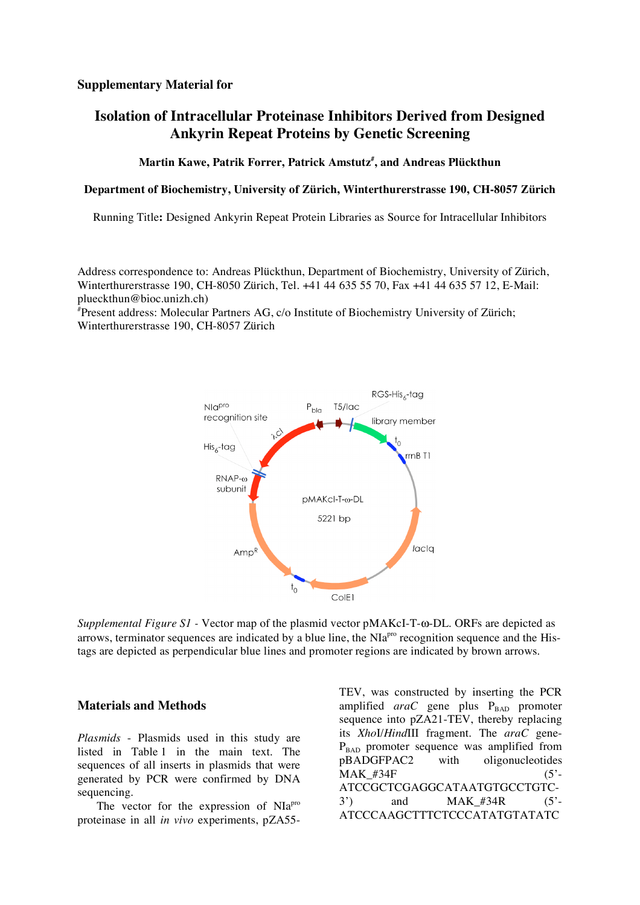## **Supplementary Material for**

# **Isolation of Intracellular Proteinase Inhibitors Derived from Designed Ankyrin Repeat Proteins by Genetic Screening**

### **Martin Kawe, Patrik Forrer, Patrick Amstutz# , and Andreas Plückthun**

#### **Department of Biochemistry, University of Zürich, Winterthurerstrasse 190, CH-8057 Zürich**

Running Title**:** Designed Ankyrin Repeat Protein Libraries as Source for Intracellular Inhibitors

Address correspondence to: Andreas Plückthun, Department of Biochemistry, University of Zürich, Winterthurerstrasse 190, CH-8050 Zürich, Tel. +41 44 635 55 70, Fax +41 44 635 57 12, E-Mail: plueckthun@bioc.unizh.ch)

# Present address: Molecular Partners AG, c/o Institute of Biochemistry University of Zürich; Winterthurerstrasse 190, CH-8057 Zürich



*Supplemental Figure S1 -* Vector map of the plasmid vector pMAKcI-T-ω-DL. ORFs are depicted as arrows, terminator sequences are indicated by a blue line, the NIa<sup>pro</sup> recognition sequence and the Histags are depicted as perpendicular blue lines and promoter regions are indicated by brown arrows.

#### **Materials and Methods**

*Plasmids* - Plasmids used in this study are listed in Table 1 in the main text. The sequences of all inserts in plasmids that were generated by PCR were confirmed by DNA sequencing.

The vector for the expression of NIa<sup>pro</sup> proteinase in all *in vivo* experiments, pZA55TEV, was constructed by inserting the PCR amplified araC gene plus P<sub>BAD</sub> promoter sequence into pZA21-TEV, thereby replacing its *Xho*I/*Hind*III fragment. The *araC* gene- $P<sub>BAD</sub>$  promoter sequence was amplified from pBADGFPAC2 with oligonucleotides  $\text{MAK}$  #34F (5'-ATCCGCTCGAGGCATAATGTGCCTGTC- $3')$  and MAK #34R (5'-ATCCCAAGCTTTCTCCCATATGTATATC